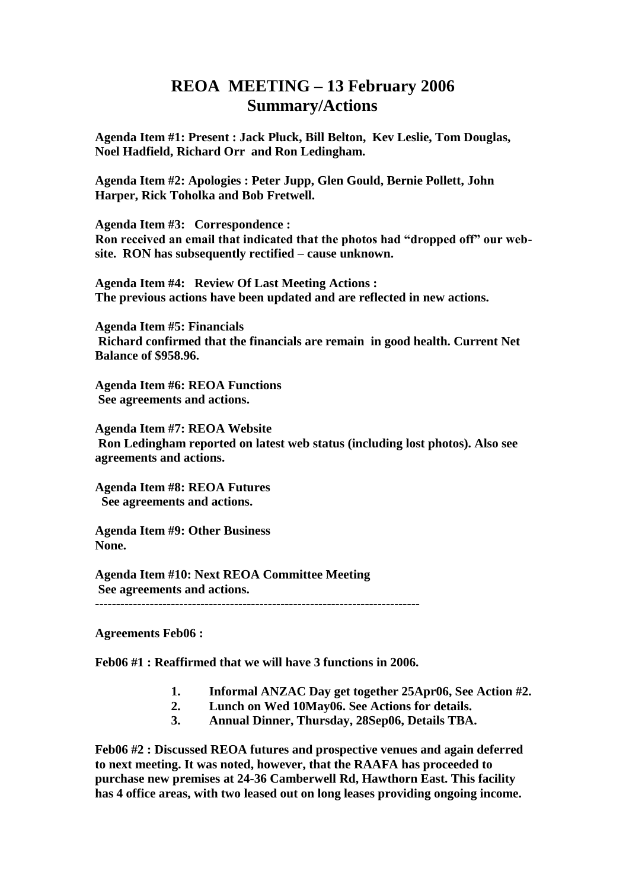## **REOA MEETING – 13 February 2006 Summary/Actions**

**Agenda Item #1: Present : Jack Pluck, Bill Belton, Kev Leslie, Tom Douglas, Noel Hadfield, Richard Orr and Ron Ledingham.**

**Agenda Item #2: Apologies : Peter Jupp, Glen Gould, Bernie Pollett, John Harper, Rick Toholka and Bob Fretwell.** 

**Agenda Item #3: Correspondence : Ron received an email that indicated that the photos had "dropped off" our website. RON has subsequently rectified – cause unknown.**

**Agenda Item #4: Review Of Last Meeting Actions : The previous actions have been updated and are reflected in new actions.**

**Agenda Item #5: Financials Richard confirmed that the financials are remain in good health. Current Net Balance of \$958.96.** 

**Agenda Item #6: REOA Functions See agreements and actions.**

**Agenda Item #7: REOA Website Ron Ledingham reported on latest web status (including lost photos). Also see agreements and actions.**

**Agenda Item #8: REOA Futures See agreements and actions.**

**Agenda Item #9: Other Business None.**

**Agenda Item #10: Next REOA Committee Meeting See agreements and actions. -----------------------------------------------------------------------------**

**Agreements Feb06 :**

**Feb06 #1 : Reaffirmed that we will have 3 functions in 2006.** 

- **1. Informal ANZAC Day get together 25Apr06, See Action #2.**
- **2. Lunch on Wed 10May06. See Actions for details.**
- **3. Annual Dinner, Thursday, 28Sep06, Details TBA.**

**Feb06 #2 : Discussed REOA futures and prospective venues and again deferred to next meeting. It was noted, however, that the RAAFA has proceeded to purchase new premises at 24-36 Camberwell Rd, Hawthorn East. This facility has 4 office areas, with two leased out on long leases providing ongoing income.**